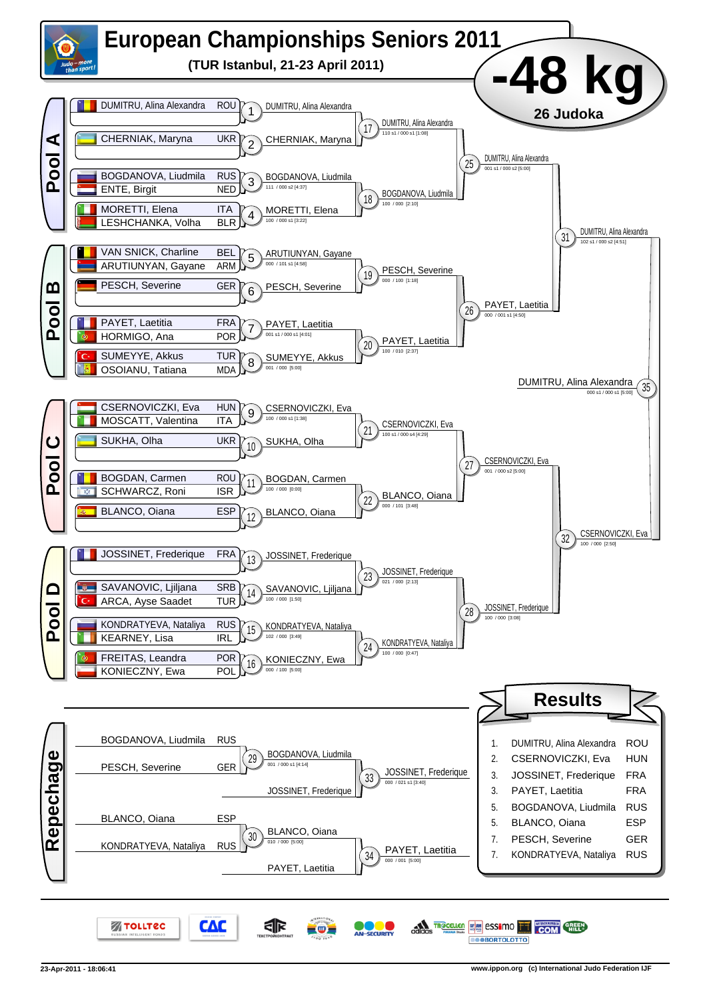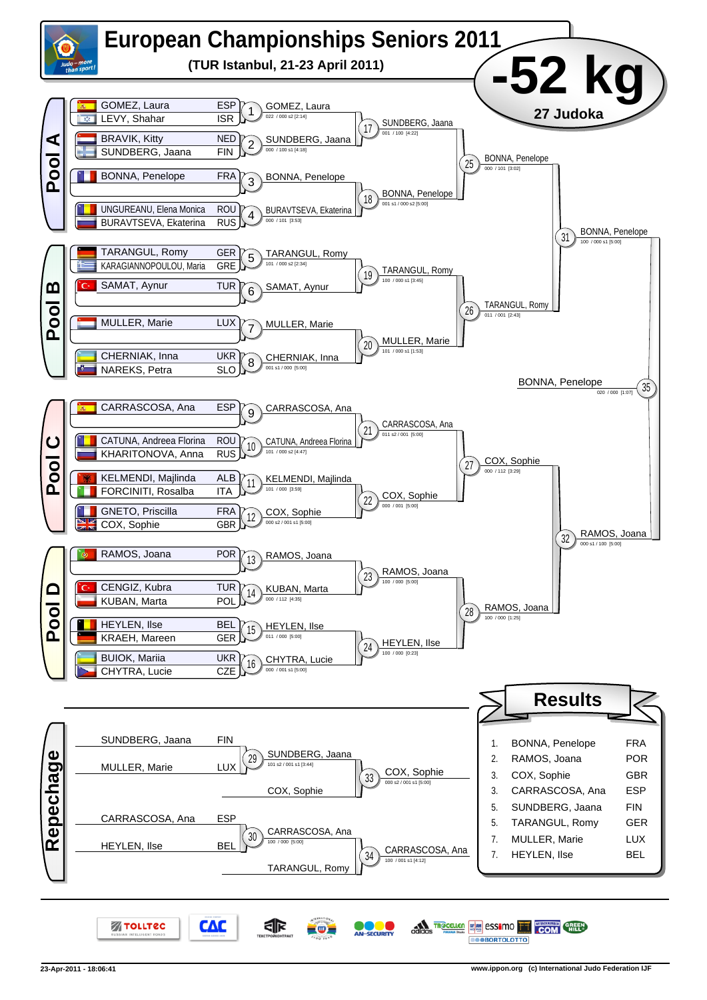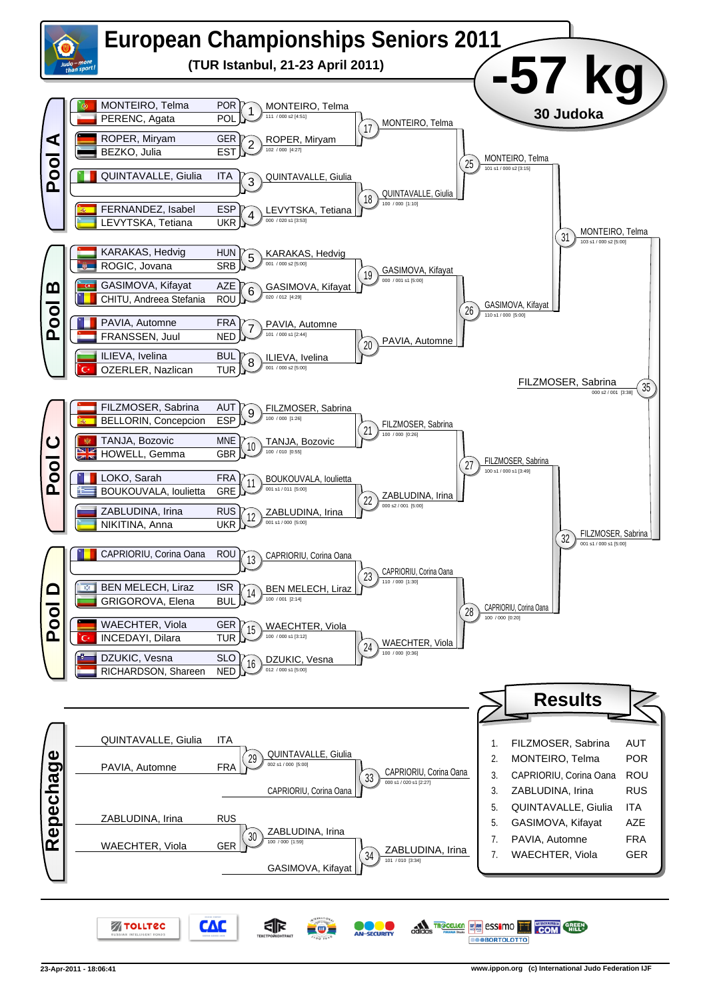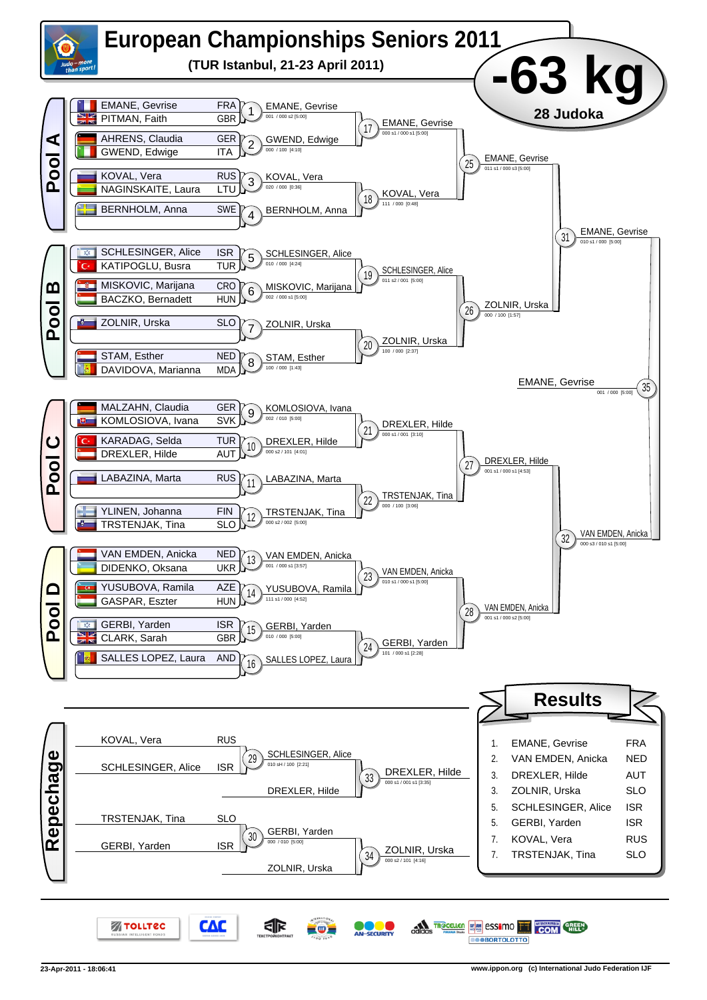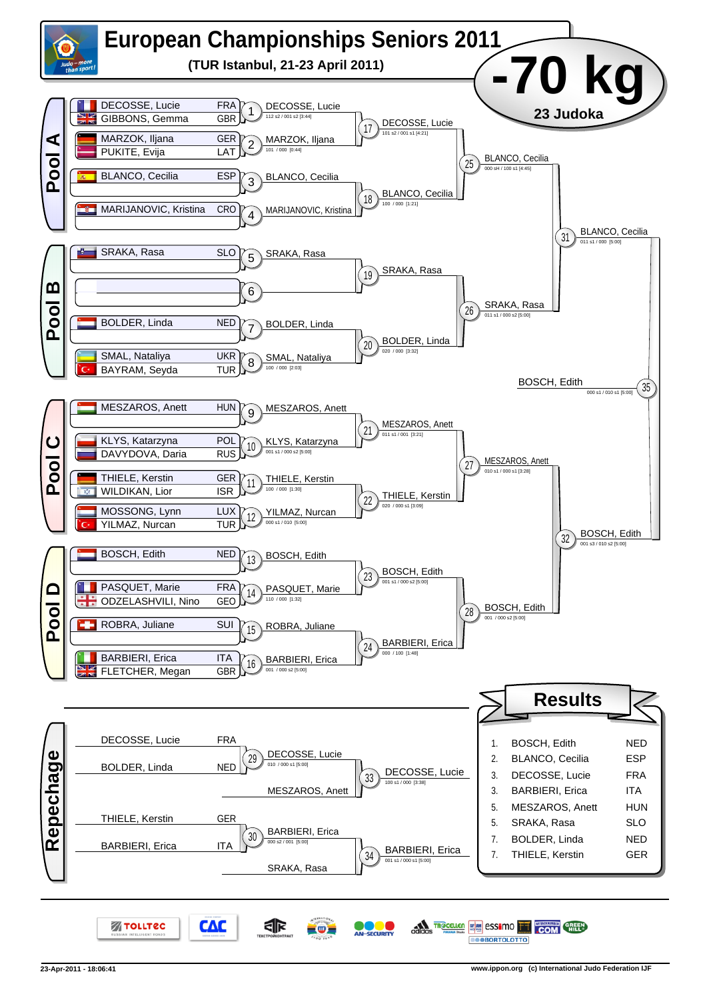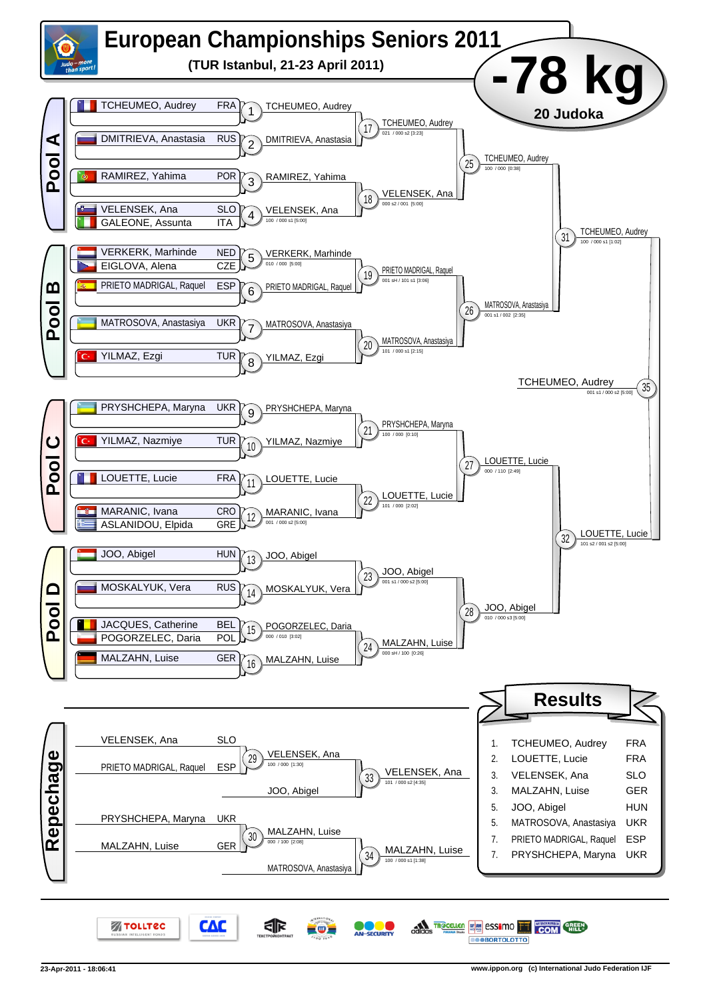